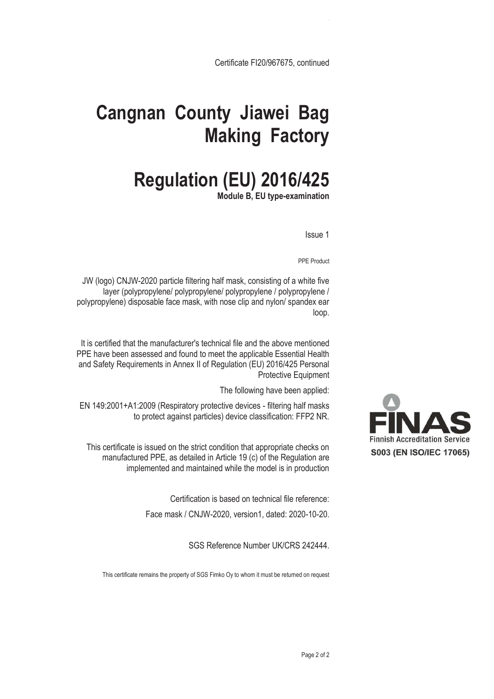Certificate FI20/967675, continued

## **Cangnan County Jiawei Bag Making Factory**

## **Regulation (EU) 2016/425**

**Module B, EU type-examination** 

Issue 1

PPE Product

JW (logo) CNJW-2020 particle filtering half mask, consisting of a white five layer (polypropylene/ polypropylene/ polypropylene / polypropylene / polypropylene) disposable face mask, with nose clip and nylon/ spandex ear loop.

It is certified that the manufacturer's technical file and the above mentioned PPE have been assessed and found to meet the applicable Essential Health and Safety Requirements in Annex II of Regulation (EU) 2016/425 Personal Protective Equipment

The following have been applied:

EN 149:2001+A1:2009 (Respiratory protective devices - filtering half masks to protect against particles) device classification: FFP2 NR.

This certificate is issued on the strict condition that appropriate checks on manufactured PPE, as detailed in Article 19 (c) of the Regulation are implemented and maintained while the model is in production

Certification is based on technical file reference:

Face mask / CNJW-2020, version1, dated: 2020-10-20.

SGS Reference Number UK/CRS 242444.

This certificate remains the property of SGS Fimko Oy to whom it must be returned on request